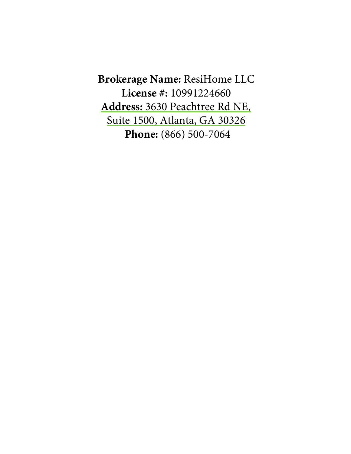**Brokerage Name:** ResiHome LLC **License #:** 10991224660 **Address:** 3630 Peachtree Rd NE, Suite 1500, Atlanta, GA 30326 **Phone:** (866) 500-7064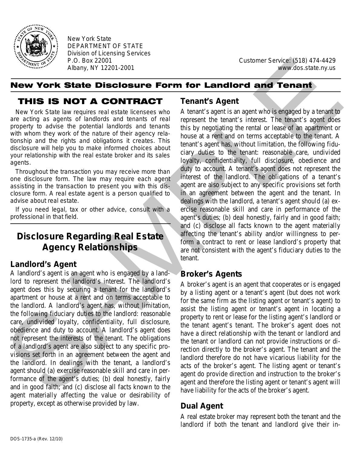

New York State DEPARTMENT OF STATE Division of Licensing Services

P.O. Box 22001 Customer Service: (518) 474-4429 Albany, NY 12201-2001 www.dos.state.ny.us

#### New York State Disclosure Form for Landlord and Tenant

## THIS IS NOT A CONTRACT

*New York State law requires real estate licensees who are acting as agents of landlords and tenants of real property to advise the potential landlords and tenants with whom they work of the nature of their agency relationship and the rights and obligations it creates. This disclosure will help you to make informed choices about your relationship with the real estate broker and its sales agents.*

*Throughout the transaction you may receive more than one disclosure form. The law may require each agent assisting in the transaction to present you with this disclosure form. A real estate agent is a person qualified to advise about real estate.*

*If you need legal, tax or other advice, consult with a professional in that field.*

## **Disclosure Regarding Real Estate Agency Relationships**

## **Landlord's Agent**

A landlord's agent is an agent who is engaged by a landlord to represent the landlord's interest. The landlord's agent does this by securing a tenant for the landlord's apartment or house at a rent and on terms acceptable to the landlord. A landlord's agent has, without limitation, the following fiduciary duties to the landlord: reasonable care, undivided loyalty, confidentiality, full disclosure, obedience and duty to account. A landlord's agent does not represent the interests of the tenant. The obligations of a landlord's agent are also subject to any specific provisions set forth in an agreement between the agent and the landlord. In dealings with the tenant, a landlord's agent should (a) exercise reasonable skill and care in performance of the agent's duties; (b) deal honestly, fairly and in good faith; and (c) disclose all facts known to the agent materially affecting the value or desirability of property, except as otherwise provided by law.

## **Tenant's Agent**

A tenant's agent is an agent who is engaged by a tenant to represent the tenant's interest. The tenant's agent does this by negotiating the rental or lease of an apartment or house at a rent and on terms acceptable to the tenant. A tenant's agent has, without limitation, the following fiduciary duties to the tenant: reasonable care, undivided loyalty, confidentiality, full disclosure, obedience and duty to account. A tenant's agent does not represent the interest of the landlord. The obligations of a tenant's agent are also subject to any specific provisions set forth in an agreement between the agent and the tenant. In dealings with the landlord, a tenant's agent should (a) exercise reasonable skill and care in performance of the agent's duties; (b) deal honestly, fairly and in good faith; and (c) disclose all facts known to the agent materially affecting the tenant's ability and/or willingness to perform a contract to rent or lease landlord's property that are not consistent with the agent's fiduciary duties to the tenant. **EXCLUSIVE CONSULTER CONSULTER CONSULTER CONSULTER CONSULTER CONSULTER CONSULTER CONSULTER CONSULTER CONSULTER CONSULTER CONSULTER CONSULTER CONSULTER CONSULTER CONSULTER CONSULTER CONSULTER CONSULTER CONSULTER CONSULTER** 

## **Broker's Agents**

A broker's agent is an agent that cooperates or is engaged by a listing agent or a tenant's agent (but does not work for the same firm as the listing agent or tenant's agent) to assist the listing agent or tenant's agent in locating a property to rent or lease for the listing agent's landlord or the tenant agent's tenant. The broker's agent does not have a direct relationship with the tenant or landlord and the tenant or landlord can not provide instructions or direction directly to the broker's agent. The tenant and the landlord therefore do not have vicarious liability for the acts of the broker's agent. The listing agent or tenant's agent do provide direction and instruction to the broker's agent and therefore the listing agent or tenant's agent will have liability for the acts of the broker's agent.

## **Dual Agent**

A real estate broker may represent both the tenant and the landlord if both the tenant and landlord give their in-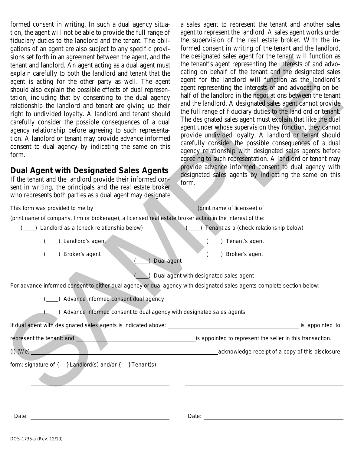formed consent in writing. In such a dual agency situation, the agent will not be able to provide the full range of fiduciary duties to the landlord and the tenant. The obligations of an agent are also subject to any specific provisions set forth in an agreement between the agent, and the tenant and landlord. An agent acting as a dual agent must explain carefully to both the landlord and tenant that the agent is acting for the other party as well. The agent should also explain the possible effects of dual representation, including that by consenting to the dual agency relationship the landlord and tenant are giving up their right to undivided loyalty. A landlord and tenant should carefully consider the possible consequences of a dual agency relationship before agreeing to such representation. A landlord or tenant may provide advance informed consent to dual agency by indicating the same on this form.

#### **Dual Agent with Designated Sales Agents**

a sales agent to represent the tenant and another sales agent to represent the landlord. A sales agent works under the supervision of the real estate broker. With the informed consent in writing of the tenant and the landlord, the designated sales agent for the tenant will function as the tenant's agent representing the interests of and advocating on behalf of the tenant and the designated sales agent for the landlord will function as the landlord's agent representing the interests of and advocating on behalf of the landlord in the negotiations between the tenant and the landlord. A designated sales agent cannot provide the full range of fiduciary duties to the landlord or tenant. The designated sales agent must explain that like the dual agent under whose supervision they function, they cannot provide undivided loyalty. A landlord or tenant should carefully consider the possible consequences of a dual agency relationship with designated sales agents before agreeing to such representation. A landlord or tenant may provide advance informed consent to dual agency with designated sales agents by indicating the same on this form.

| sions set forth in an agreement between the agent, and the<br>tenant and landlord. An agent acting as a dual agent must<br>explain carefully to both the landlord and tenant that the<br>agent is acting for the other party as well. The agent<br>should also explain the possible effects of dual represen-<br>tation, including that by consenting to the dual agency<br>relationship the landlord and tenant are giving up their<br>right to undivided loyalty. A landlord and tenant should<br>carefully consider the possible consequences of a dual<br>agency relationship before agreeing to such representa-<br>tion. A landlord or tenant may provide advance informed<br>consent to dual agency by indicating the same on this<br>form. | the designated sales agent for the tenant will function as<br>the tenant's agent representing the interests of and advo-<br>cating on behalf of the tenant and the designated sales<br>agent for the landlord will function as the landlord's<br>agent representing the interests of and advocating on be-<br>half of the landlord in the negotiations between the tenant<br>and the landlord. A designated sales agent cannot provide<br>the full range of fiduciary duties to the landlord or tenant.<br>The designated sales agent must explain that like the dual<br>agent under whose supervision they function, they cannot<br>provide undivided loyalty. A landlord or tenant should<br>carefully consider the possible consequences of a dual<br>agency relationship with designated sales agents before<br>agreeing to such representation. A landlord or tenant may |
|----------------------------------------------------------------------------------------------------------------------------------------------------------------------------------------------------------------------------------------------------------------------------------------------------------------------------------------------------------------------------------------------------------------------------------------------------------------------------------------------------------------------------------------------------------------------------------------------------------------------------------------------------------------------------------------------------------------------------------------------------|-------------------------------------------------------------------------------------------------------------------------------------------------------------------------------------------------------------------------------------------------------------------------------------------------------------------------------------------------------------------------------------------------------------------------------------------------------------------------------------------------------------------------------------------------------------------------------------------------------------------------------------------------------------------------------------------------------------------------------------------------------------------------------------------------------------------------------------------------------------------------------|
| <b>Dual Agent with Designated Sales Agents</b><br>If the tenant and the landlord provide their informed con-<br>sent in writing, the principals and the real estate broker<br>who represents both parties as a dual agent may designate                                                                                                                                                                                                                                                                                                                                                                                                                                                                                                            | provide advance informed consent to dual agency with<br>designated sales agents by indicating the same on this<br>form.                                                                                                                                                                                                                                                                                                                                                                                                                                                                                                                                                                                                                                                                                                                                                       |
| This form was provided to me by                                                                                                                                                                                                                                                                                                                                                                                                                                                                                                                                                                                                                                                                                                                    | (print name of licensee) of                                                                                                                                                                                                                                                                                                                                                                                                                                                                                                                                                                                                                                                                                                                                                                                                                                                   |
| (print name of company, firm or brokerage), a licensed real estate broker acting in the interest of the:                                                                                                                                                                                                                                                                                                                                                                                                                                                                                                                                                                                                                                           |                                                                                                                                                                                                                                                                                                                                                                                                                                                                                                                                                                                                                                                                                                                                                                                                                                                                               |
| Landlord as a (check relationship below)                                                                                                                                                                                                                                                                                                                                                                                                                                                                                                                                                                                                                                                                                                           | Tenant as a (check relationship below)                                                                                                                                                                                                                                                                                                                                                                                                                                                                                                                                                                                                                                                                                                                                                                                                                                        |
| Landlord's agent                                                                                                                                                                                                                                                                                                                                                                                                                                                                                                                                                                                                                                                                                                                                   | Tenant's agent                                                                                                                                                                                                                                                                                                                                                                                                                                                                                                                                                                                                                                                                                                                                                                                                                                                                |
| Broker's agent<br>Dual agent                                                                                                                                                                                                                                                                                                                                                                                                                                                                                                                                                                                                                                                                                                                       | Broker's agent                                                                                                                                                                                                                                                                                                                                                                                                                                                                                                                                                                                                                                                                                                                                                                                                                                                                |
| For advance informed consent to either dual agency or dual agency with designated sales agents complete section below:                                                                                                                                                                                                                                                                                                                                                                                                                                                                                                                                                                                                                             | Dual agent with designated sales agent                                                                                                                                                                                                                                                                                                                                                                                                                                                                                                                                                                                                                                                                                                                                                                                                                                        |
| Advance informed consent dual agency                                                                                                                                                                                                                                                                                                                                                                                                                                                                                                                                                                                                                                                                                                               |                                                                                                                                                                                                                                                                                                                                                                                                                                                                                                                                                                                                                                                                                                                                                                                                                                                                               |
| ) Advance informed consent to dual agency with designated sales agents                                                                                                                                                                                                                                                                                                                                                                                                                                                                                                                                                                                                                                                                             |                                                                                                                                                                                                                                                                                                                                                                                                                                                                                                                                                                                                                                                                                                                                                                                                                                                                               |
|                                                                                                                                                                                                                                                                                                                                                                                                                                                                                                                                                                                                                                                                                                                                                    |                                                                                                                                                                                                                                                                                                                                                                                                                                                                                                                                                                                                                                                                                                                                                                                                                                                                               |
| represent the tenant; and <b>Network Constructed</b> Let be appointed to represent the seller in this transaction.                                                                                                                                                                                                                                                                                                                                                                                                                                                                                                                                                                                                                                 |                                                                                                                                                                                                                                                                                                                                                                                                                                                                                                                                                                                                                                                                                                                                                                                                                                                                               |
| (I) (We) example acknowledge receipt of a copy of this disclosure                                                                                                                                                                                                                                                                                                                                                                                                                                                                                                                                                                                                                                                                                  |                                                                                                                                                                                                                                                                                                                                                                                                                                                                                                                                                                                                                                                                                                                                                                                                                                                                               |
| form: signature of $\{\}$ } Landlord(s) and/or $\{\}$ } Tenant(s):                                                                                                                                                                                                                                                                                                                                                                                                                                                                                                                                                                                                                                                                                 |                                                                                                                                                                                                                                                                                                                                                                                                                                                                                                                                                                                                                                                                                                                                                                                                                                                                               |
|                                                                                                                                                                                                                                                                                                                                                                                                                                                                                                                                                                                                                                                                                                                                                    |                                                                                                                                                                                                                                                                                                                                                                                                                                                                                                                                                                                                                                                                                                                                                                                                                                                                               |
|                                                                                                                                                                                                                                                                                                                                                                                                                                                                                                                                                                                                                                                                                                                                                    |                                                                                                                                                                                                                                                                                                                                                                                                                                                                                                                                                                                                                                                                                                                                                                                                                                                                               |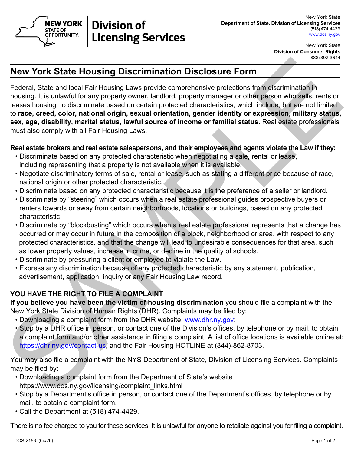

# **Division of Licensing Services**

New York State **Division of Consumer Rights** (888) 392-3644

# **New York State Housing Discrimination Disclosure Form**

Federal, State and local Fair Housing Laws provide comprehensive protections from discrimination in housing. It is unlawful for any property owner, landlord, property manager or other person who sells, rents or leases housing, to discriminate based on certain protected characteristics, which include, but are not limited to **race, creed, color, national origin, sexual orientation, gender identity or expression, military status, sex, age, disability, marital status, lawful source of income or familial status.** Real estate professionals must also comply with all Fair Housing Laws. New York State Housing Discrimination Disclosure Form<br>
Federal, State and local Fair Housing Laws provide comprehensive protections from discrimination in<br>
headers and local Fair Housing Laws provide comprehensive protecti

#### **Real estate brokers and real estate salespersons, and their employees and agents violate the Law if they:**

- Discriminate based on any protected characteristic when negotiating a sale, rental or lease, including representing that a property is not available when it is available.
- Negotiate discriminatory terms of sale, rental or lease, such as stating a different price because of race, national origin or other protected characteristic.
- Discriminate based on any protected characteristic because it is the preference of a seller or landlord.
- Discriminate by "steering" which occurs when a real estate professional guides prospective buyers or renters towards or away from certain neighborhoods, locations or buildings, based on any protected characteristic.
- Discriminate by "blockbusting" which occurs when a real estate professional represents that a change has occurred or may occur in future in the composition of a block, neighborhood or area, with respect to any protected characteristics, and that the change will lead to undesirable consequences for that area, such as lower property values, increase in crime, or decline in the quality of schools.
- Discriminate by pressuring a client or employee to violate the Law.
- Express any discrimination because of any protected characteristic by any statement, publication, advertisement, application, inquiry or any Fair Housing Law record.

## **YOU HAVE THE RIGHT TO FILE A COMPLAINT**

**If you believe you have been the victim of housing discrimination** you should file a complaint with the New York State Division of Human Rights (DHR). Complaints may be filed by:

- Downloading a complaint form from the DHR website: www.dhr.ny.gov;
- Stop by a DHR office in person, or contact one of the Division's offices, by telephone or by mail, to obtain a complaint form and/or other assistance in filing a complaint. A list of office locations is available online at: https://dhr.ny.gov/contact-us, and the Fair Housing HOTLINE at (844)-862-8703.

You may also file a complaint with the NYS Department of State, Division of Licensing Services. Complaints may be filed by:

- Downloading a complaint form from the Department of State's website https://www.dos.ny.gov/licensing/complaint\_links.html
- Stop by a Department's office in person, or contact one of the Department's offices, by telephone or by mail, to obtain a complaint form.
- Call the Department at (518) 474-4429.

There is no fee charged to you for these services. It is unlawful for anyone to retaliate against you for filing a complaint.